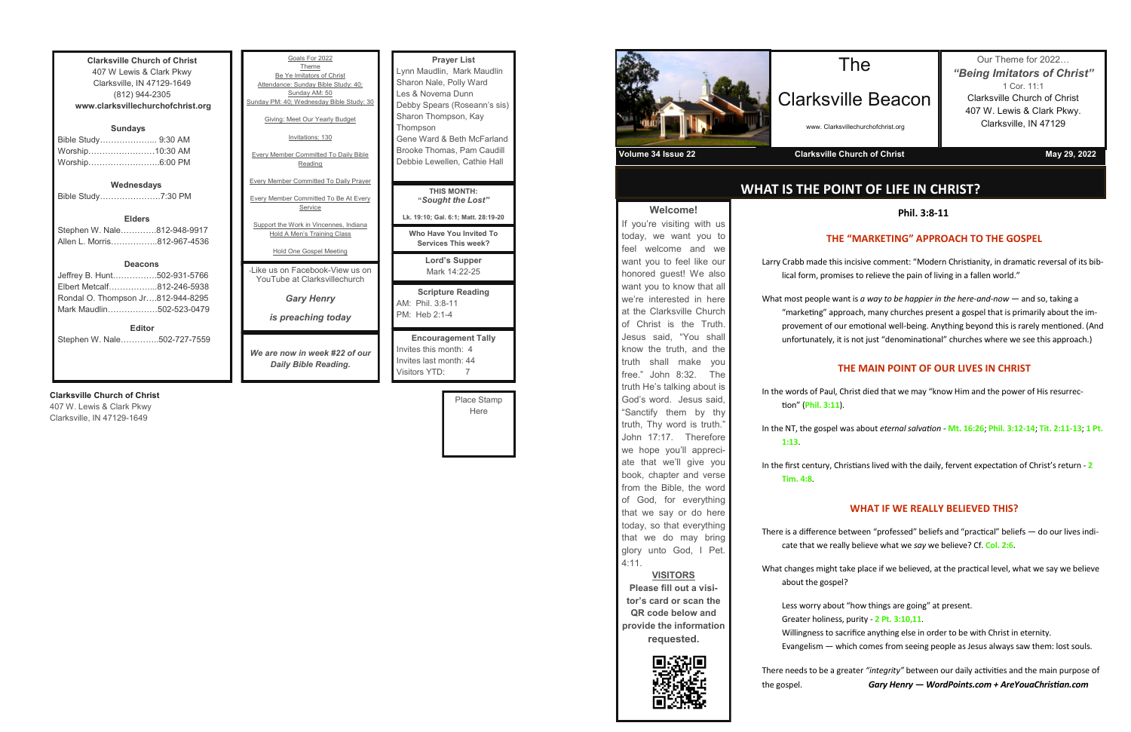| <b>Clarksville Church of Christ</b><br>407 W Lewis & Clark Pkwy<br>Clarksville, IN 47129-1649 |  |  |  |
|-----------------------------------------------------------------------------------------------|--|--|--|
| (812) 944-2305                                                                                |  |  |  |
| www.clarksvillechurchofchrist.org                                                             |  |  |  |
|                                                                                               |  |  |  |
| <b>Sundays</b>                                                                                |  |  |  |
| Bible Study 9:30 AM                                                                           |  |  |  |
| Worship10:30 AM                                                                               |  |  |  |
|                                                                                               |  |  |  |
| Worship6:00 PM                                                                                |  |  |  |
|                                                                                               |  |  |  |
| Wednesdays                                                                                    |  |  |  |
| Bible Study7:30 PM                                                                            |  |  |  |
|                                                                                               |  |  |  |
| <b>Elders</b>                                                                                 |  |  |  |
| Stephen W. Nale812-948-9917                                                                   |  |  |  |
| Allen L. Morris…………….812-967-4536                                                             |  |  |  |
|                                                                                               |  |  |  |
| <b>Deacons</b>                                                                                |  |  |  |
| Jeffrey B. Hunt502-931-5766                                                                   |  |  |  |
| Elbert Metcalf812-246-5938                                                                    |  |  |  |
| Rondal O. Thompson Jr812-944-8295                                                             |  |  |  |
|                                                                                               |  |  |  |
| Mark Maudlin502-523-0479                                                                      |  |  |  |
| <b>Editor</b>                                                                                 |  |  |  |
| Stephen W. Nale502-727-7559                                                                   |  |  |  |
|                                                                                               |  |  |  |

#### **Clarksville Church of Christ**

407 W. Lewis & Clark Pkwy Clarksville, IN 47129-1649

| Goals For 2022                                                        | <b>Prayer List</b>                                         |
|-----------------------------------------------------------------------|------------------------------------------------------------|
| Theme                                                                 | Lynn Maudlin, Mark Maudlin                                 |
| Be Ye Imitators of Christ                                             |                                                            |
| Attendance: Sunday Bible Study: 40;                                   | Sharon Nale, Polly Ward                                    |
| Sunday AM: 50                                                         | Les & Novema Dunn                                          |
| Sunday PM: 40; Wednesday Bible Study: 30                              | Debby Spears (Roseann's sis)                               |
| Giving: Meet Our Yearly Budget                                        | Sharon Thompson, Kay<br>Thompson                           |
| Invitations: 130                                                      | Gene Ward & Beth McFarland                                 |
| <b>Every Member Committed To Daily Bible</b><br>Reading               | Brooke Thomas, Pam Caudill<br>Debbie Lewellen, Cathie Hall |
| <b>Every Member Committed To Daily Prayer</b>                         |                                                            |
| <b>Every Member Committed To Be At Every</b><br>Service               | <b>THIS MONTH:</b><br>"Sought the Lost"                    |
|                                                                       | Lk. 19:10; Gal. 6:1; Matt. 28:19-20                        |
| Support the Work in Vincennes, Indiana<br>Hold A Men's Training Class | Who Have You Invited To                                    |
|                                                                       | <b>Services This week?</b>                                 |
| Hold One Gospel Meeting                                               |                                                            |
|                                                                       | <b>Lord's Supper</b>                                       |
| - like us on Facebook-View us on<br>YouTube at Clarksvillechurch      | Mark 14:22-25                                              |
|                                                                       | <b>Scripture Reading</b>                                   |
| <b>Gary Henry</b>                                                     | AM: Phil. 3:8-11                                           |
|                                                                       |                                                            |
| is preaching today                                                    | PM: Heb 2:1-4                                              |
|                                                                       | <b>Encouragement Tally</b>                                 |
| We are now in week #22 of our<br>Daily Bible Reading.                 | Invites this month: 4                                      |
|                                                                       |                                                            |
|                                                                       | Invites last month: 44                                     |
|                                                                       | Visitors YTD:<br>7                                         |
|                                                                       |                                                            |

Place Stamp Here



**Welcome!** If you're visiting with us today, we want you to feel welcome and we want you to feel like our honored guest! We also want you to know that all we're interested in here at the Clarksville Church of Christ is the Truth. Jesus said, "You shall know the truth, and the truth shall make you free." John 8:32. The truth He's talking about is God's word. Jesus said, "Sanctify them by thy truth, Thy word is truth." John 17:17. Therefore we hope you'll appreciate that we'll give you book, chapter and verse from the Bible, the word of God, for everything that we say or do here today, so that everything that we do may bring glory unto God, I Pet.

4:11.

**VISITORS Please fill out a visitor's card or scan the QR code below and provide the information requested.**

### **WHAT IS THE POINT OF LIFE IN CHRIST?**

## The

## Clarksville Beacon

www. Clarksvillechurchofchrist.org

Our Theme for 2022… *"Being Imitators of Christ"* 1 Cor. 11:1 Clarksville Church of Christ 407 W. Lewis & Clark Pkwy. Clarksville, IN 47129

**Volume 34 Issue 22 Clarksville Church of Christ May 29, 2022**

**Phil. 3:8-11**

### **THE "MARKETING" APPROACH TO THE GOSPEL**

Larry Crabb made this incisive comment: "Modern Christianity, in dramatic reversal of its biblical form, promises to relieve the pain of living in a fallen world."

What most people want is *a way to be happier in the here-and-now* — and so, taking a "marketing" approach, many churches present a gospel that is primarily about the improvement of our emotional well-being. Anything beyond this is rarely mentioned. (And unfortunately, it is not just "denominational" churches where we see this approach.)

### **THE MAIN POINT OF OUR LIVES IN CHRIST**

In the words of Paul, Christ died that we may "know Him and the power of His resurrection" (**Phil. 3:11**).

In the NT, the gospel was about *eternal salvation* - **Mt. 16:26**; **Phil. 3:12-14**; **Tit. 2:11-13**; **1 Pt.** 

**1:13**.

In the first century, Christians lived with the daily, fervent expectation of Christ's return - **2** 

**Tim. 4:8**.

### **WHAT IF WE REALLY BELIEVED THIS?**

There is a difference between "professed" beliefs and "practical" beliefs — do our lives indicate that we really believe what we *say* we believe? Cf. **Col. 2:6**.

What changes might take place if we believed, at the practical level, what we say we believe about the gospel?

Less worry about "how things are going" at present.

Greater holiness, purity - **2 Pt. 3:10,11**.

Willingness to sacrifice anything else in order to be with Christ in eternity.

Evangelism — which comes from seeing people as Jesus always saw them: lost souls.

There needs to be a greater *"integrity"* between our daily activities and the main purpose of the gospel. *Gary Henry — WordPoints.com + AreYouaChristian.com*